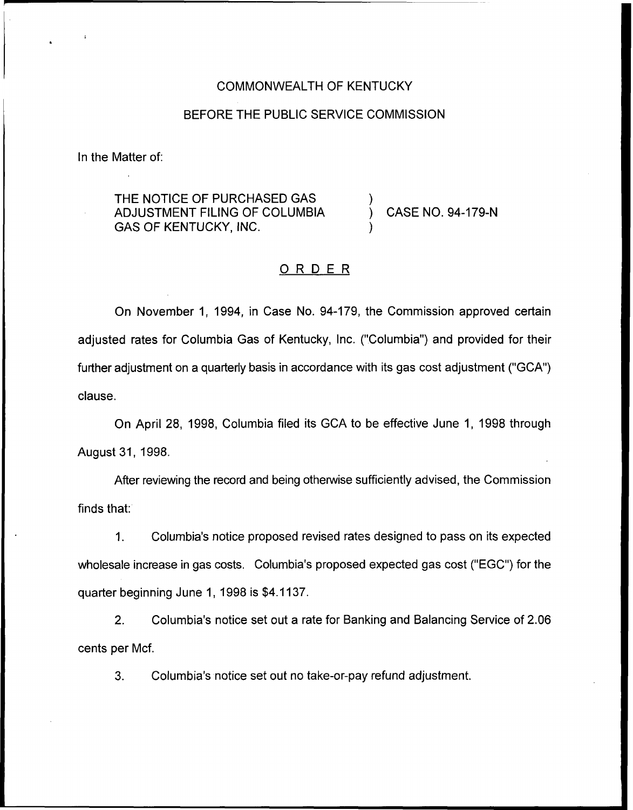#### COMMONWEALTH OF KENTUCKY

#### BEFORE THE PUBLIC SERVICE COMMISSION

In the Matter of:

THE NOTICE OF PURCHASED GAS ADJUSTMENT FILING OF COLUMBIA GAS OF KENTUCKY, INC.

) CASE NO. 94-179-N

### ORDER

)

 $\overline{y}$ 

On November 1, 1994, in Case No. 94-179, the Commission approved certain adjusted rates for Columbia Gas of Kentucky, Inc. ("Columbia") and provided for their further adjustment on a quarterly basis in accordance with its gas cost adjustment ("GCA") clause.

On April 28, 1998, Columbia filed its GCA to be effective June 1, 1998 through August 31, 1998.

After reviewing the record and being otherwise sufficiently advised, the Commission finds that:

Columbia's notice proposed revised rates designed to pass on its expected  $1<sub>1</sub>$ wholesale increase in gas costs. Columbia's proposed expected gas cost ("EGC") for the quarter beginning June 1, 1998 is \$4.1137.

2. Columbia's notice set out a rate for Banking and Balancing Service of 2.06 cents per Mcf.

3. Columbia's notice set out no take-or-pay refund adjustment.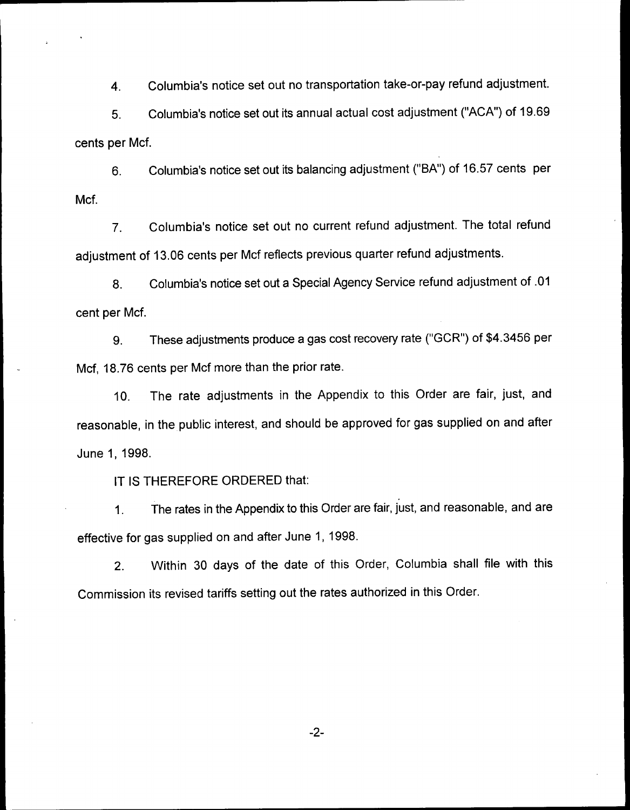4. Columbia's notice set out no transportation take-or-pay refund adjustment.

5. Columbia's notice set out its annual actual cost adjustment ("ACA") of 19.69 cents per Mcf.

6. Columbia's notice set out its balancing adjustment ("BA") of 16.57 cents per Mcf.

7. Columbia's notice set out no current refund adjustment. The total refund adjustment of 13.06 cents per Mcf reflects previous quarter refund adjustments.

8. Columbia's notice set out a Special Agency Service refund adjustment of .01 cent per Mcf.

9. These adjustments produce a gas cost recovery rate ("GCR") of \$4.3456 per Mcf, 18.76 cents per Mcf more than the prior rate.

10. The rate adjustments in the Appendix to this Order are fair, just, and reasonable, in the public interest, and should be approved for gas supplied on and after June 1, 1998.

IT IS THEREFORE ORDERED that;

1. The rates in the Appendix to this Order are fair, just, and reasonable, and are effective for gas supplied on and after June 1, 1998.

2. Within 30 days of the date of this Order, Columbia shall file with this Commission its revised tariffs setting out the rates authorized in this Order.

 $-2-$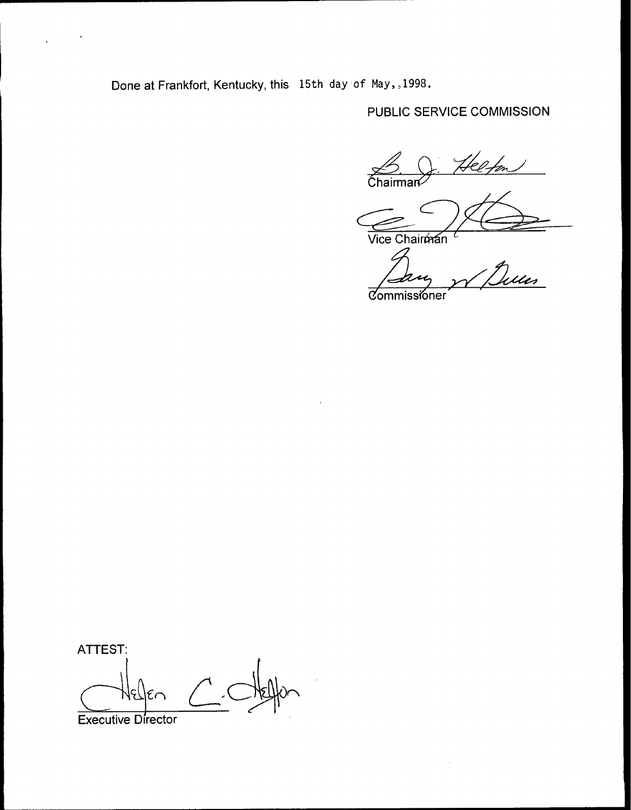Done at Frankfort, Kentucky, this 15th day of May, 1998.

 $\cdot$ 

# PUBLIC SERVICE COMMISSION

Helton  $\frac{1}{2}$ Chairman

Vice Chairman

.<br>uu *Commissioner* 

ATTEST: Executive Director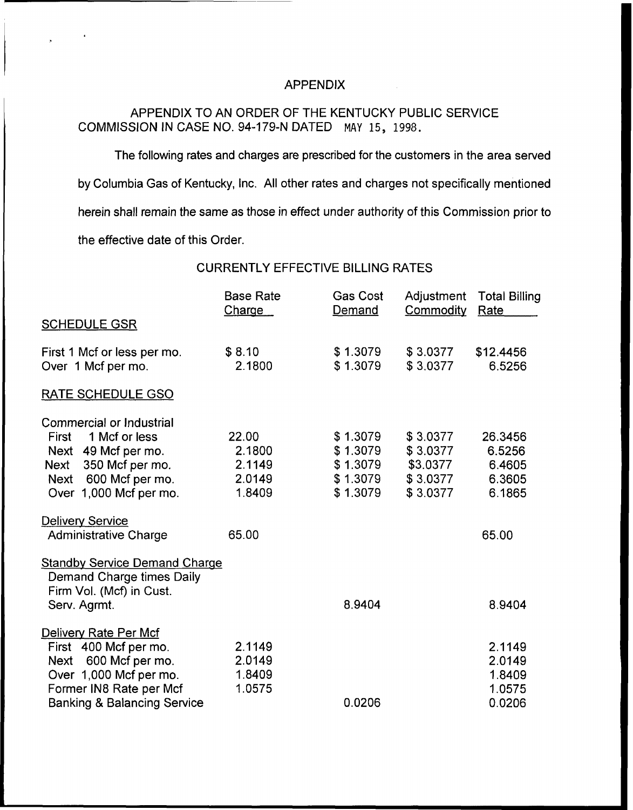### APPENDIX

## APPENDIX TO AN ORDER OF THE KENTUCKY PUBLIC SERVICE COMMISSION IN CASE NO. 94-179-N DATED MAY 15, 1998.

The following rates and charges are prescribed for the customers in the area served by Columbia Gas of Kentucky, Inc. All other rates and charges not specifically mentioned herein shall remain the same as those in effect under authority of this Commission prior to the effective date of this Order.

CURRENTLY EFFECTIVE BILLING RATES

|                                        | <b>Base Rate</b><br><b>Charge</b> | <b>Gas Cost</b><br>Demand | Adjustment<br>Commodity | <b>Total Billing</b><br>Rate |
|----------------------------------------|-----------------------------------|---------------------------|-------------------------|------------------------------|
| <b>SCHEDULE GSR</b>                    |                                   |                           |                         |                              |
| First 1 Mcf or less per mo.            | \$8.10                            | \$1.3079                  | \$3.0377                | \$12.4456                    |
| Over 1 Mcf per mo.                     | 2.1800                            | \$1.3079                  | \$3.0377                | 6.5256                       |
| RATE SCHEDULE GSO                      |                                   |                           |                         |                              |
| Commercial or Industrial               |                                   |                           |                         |                              |
| 1 Mcf or less<br>First                 | 22.00                             | \$1.3079                  | \$3.0377                | 26.3456                      |
| Next 49 Mcf per mo.                    | 2.1800                            | \$1.3079                  | \$3.0377                | 6.5256                       |
| 350 Mcf per mo.<br>Next                | 2.1149                            | \$1.3079                  | \$3.0377                | 6.4605                       |
| Next 600 Mcf per mo.                   | 2.0149                            | \$1.3079                  | \$3.0377                | 6.3605                       |
| Over 1,000 Mcf per mo.                 | 1.8409                            | \$1.3079                  | \$3.0377                | 6.1865                       |
| <b>Delivery Service</b>                |                                   |                           |                         |                              |
| <b>Administrative Charge</b>           | 65.00                             |                           |                         | 65.00                        |
| <b>Standby Service Demand Charge</b>   |                                   |                           |                         |                              |
| Demand Charge times Daily              |                                   |                           |                         |                              |
| Firm Vol. (Mcf) in Cust.               |                                   |                           |                         |                              |
| Serv. Agrmt.                           |                                   | 8.9404                    |                         | 8.9404                       |
| Delivery Rate Per Mcf                  |                                   |                           |                         |                              |
| First 400 Mcf per mo.                  | 2.1149                            |                           |                         | 2.1149                       |
| 600 Mcf per mo.<br>Next                | 2.0149                            |                           |                         | 2.0149                       |
| Over 1,000 Mcf per mo.                 | 1.8409                            |                           |                         | 1.8409                       |
| Former IN8 Rate per Mcf                | 1.0575                            |                           |                         | 1.0575                       |
| <b>Banking &amp; Balancing Service</b> |                                   | 0.0206                    |                         | 0.0206                       |